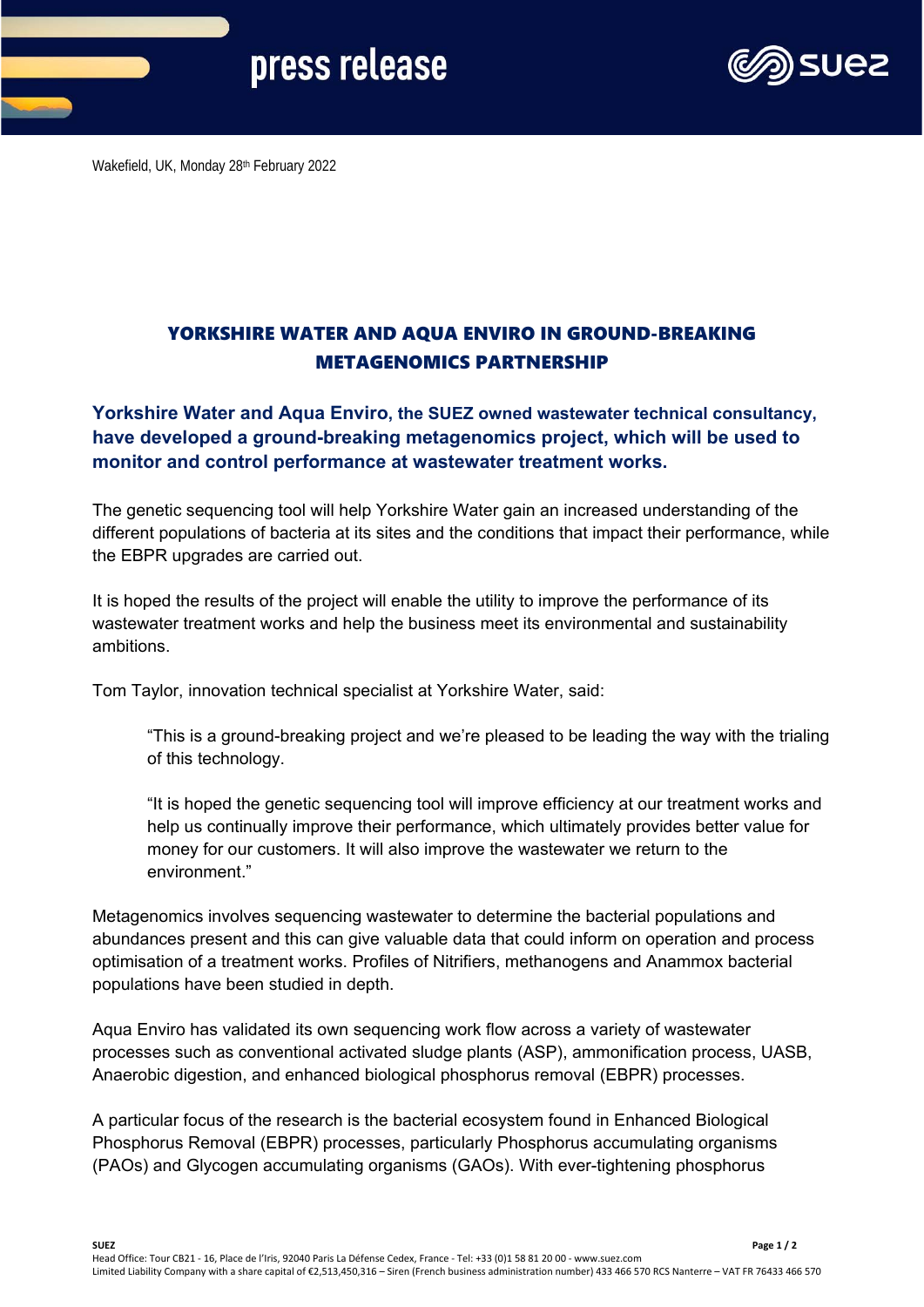# press release



Wakefield, UK, Monday 28th February 2022

## YORKSHIRE WATER AND AQUA ENVIRO IN GROUND-BREAKING METAGENOMICS PARTNERSHIP

### **Yorkshire Water and Aqua Enviro, the SUEZ owned wastewater technical consultancy, have developed a ground-breaking metagenomics project, which will be used to monitor and control performance at wastewater treatment works.**

The genetic sequencing tool will help Yorkshire Water gain an increased understanding of the different populations of bacteria at its sites and the conditions that impact their performance, while the EBPR upgrades are carried out.

It is hoped the results of the project will enable the utility to improve the performance of its wastewater treatment works and help the business meet its environmental and sustainability ambitions.

Tom Taylor, innovation technical specialist at Yorkshire Water, said:

"This is a ground-breaking project and we're pleased to be leading the way with the trialing of this technology.

"It is hoped the genetic sequencing tool will improve efficiency at our treatment works and help us continually improve their performance, which ultimately provides better value for money for our customers. It will also improve the wastewater we return to the environment."

Metagenomics involves sequencing wastewater to determine the bacterial populations and abundances present and this can give valuable data that could inform on operation and process optimisation of a treatment works. Profiles of Nitrifiers, methanogens and Anammox bacterial populations have been studied in depth.

Aqua Enviro has validated its own sequencing work flow across a variety of wastewater processes such as conventional activated sludge plants (ASP), ammonification process, UASB, Anaerobic digestion, and enhanced biological phosphorus removal (EBPR) processes.

A particular focus of the research is the bacterial ecosystem found in Enhanced Biological Phosphorus Removal (EBPR) processes, particularly Phosphorus accumulating organisms (PAOs) and Glycogen accumulating organisms (GAOs). With ever-tightening phosphorus